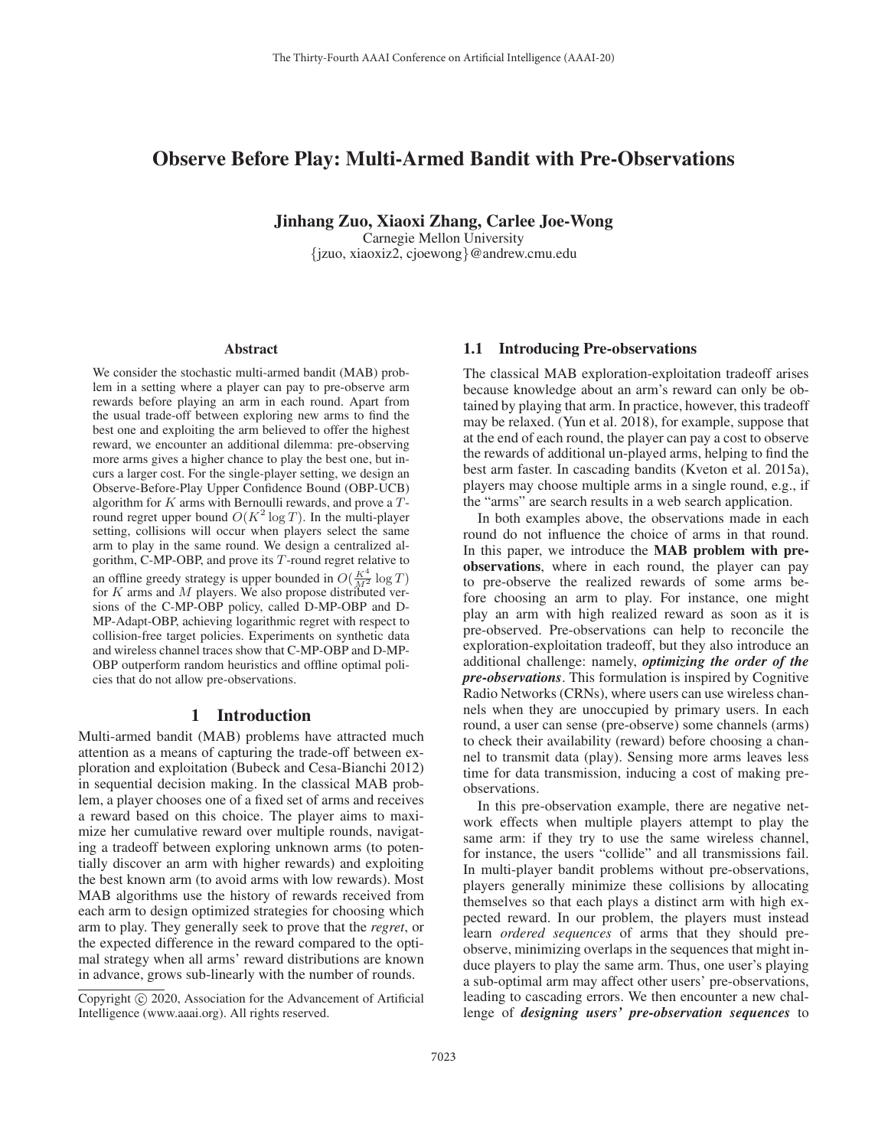# Observe Before Play: Multi-Armed Bandit with Pre-Observations

Jinhang Zuo, Xiaoxi Zhang, Carlee Joe-Wong

Carnegie Mellon University {jzuo, xiaoxiz2, cjoewong}@andrew.cmu.edu

#### Abstract

We consider the stochastic multi-armed bandit (MAB) problem in a setting where a player can pay to pre-observe arm rewards before playing an arm in each round. Apart from the usual trade-off between exploring new arms to find the best one and exploiting the arm believed to offer the highest reward, we encounter an additional dilemma: pre-observing more arms gives a higher chance to play the best one, but incurs a larger cost. For the single-player setting, we design an Observe-Before-Play Upper Confidence Bound (OBP-UCB) algorithm for  $K$  arms with Bernoulli rewards, and prove a  $T$ round regret upper bound  $O(K^2 \log T)$ . In the multi-player setting, collisions will occur when players select the same arm to play in the same round. We design a centralized algorithm, C-MP-OBP, and prove its T-round regret relative to an offline greedy strategy is upper bounded in  $O(\frac{K^4}{M^2} \log T)$  for K arms and M players. We also propose distributed verfor  $K$  arms and  $M$  players. We also propose distributed versions of the C-MP-OBP policy, called D-MP-OBP and D-MP-Adapt-OBP, achieving logarithmic regret with respect to collision-free target policies. Experiments on synthetic data and wireless channel traces show that C-MP-OBP and D-MP-OBP outperform random heuristics and offline optimal policies that do not allow pre-observations.

### 1 Introduction

Multi-armed bandit (MAB) problems have attracted much attention as a means of capturing the trade-off between exploration and exploitation (Bubeck and Cesa-Bianchi 2012) in sequential decision making. In the classical MAB problem, a player chooses one of a fixed set of arms and receives a reward based on this choice. The player aims to maximize her cumulative reward over multiple rounds, navigating a tradeoff between exploring unknown arms (to potentially discover an arm with higher rewards) and exploiting the best known arm (to avoid arms with low rewards). Most MAB algorithms use the history of rewards received from each arm to design optimized strategies for choosing which arm to play. They generally seek to prove that the *regret*, or the expected difference in the reward compared to the optimal strategy when all arms' reward distributions are known in advance, grows sub-linearly with the number of rounds.

#### 1.1 Introducing Pre-observations

The classical MAB exploration-exploitation tradeoff arises because knowledge about an arm's reward can only be obtained by playing that arm. In practice, however, this tradeoff may be relaxed. (Yun et al. 2018), for example, suppose that at the end of each round, the player can pay a cost to observe the rewards of additional un-played arms, helping to find the best arm faster. In cascading bandits (Kveton et al. 2015a), players may choose multiple arms in a single round, e.g., if the "arms" are search results in a web search application.

In both examples above, the observations made in each round do not influence the choice of arms in that round. In this paper, we introduce the MAB problem with preobservations, where in each round, the player can pay to pre-observe the realized rewards of some arms before choosing an arm to play. For instance, one might play an arm with high realized reward as soon as it is pre-observed. Pre-observations can help to reconcile the exploration-exploitation tradeoff, but they also introduce an additional challenge: namely, *optimizing the order of the pre-observations*. This formulation is inspired by Cognitive Radio Networks (CRNs), where users can use wireless channels when they are unoccupied by primary users. In each round, a user can sense (pre-observe) some channels (arms) to check their availability (reward) before choosing a channel to transmit data (play). Sensing more arms leaves less time for data transmission, inducing a cost of making preobservations.

In this pre-observation example, there are negative network effects when multiple players attempt to play the same arm: if they try to use the same wireless channel, for instance, the users "collide" and all transmissions fail. In multi-player bandit problems without pre-observations, players generally minimize these collisions by allocating themselves so that each plays a distinct arm with high expected reward. In our problem, the players must instead learn *ordered sequences* of arms that they should preobserve, minimizing overlaps in the sequences that might induce players to play the same arm. Thus, one user's playing a sub-optimal arm may affect other users' pre-observations, leading to cascading errors. We then encounter a new challenge of *designing users' pre-observation sequences* to

Copyright  $\odot$  2020, Association for the Advancement of Artificial Intelligence (www.aaai.org). All rights reserved.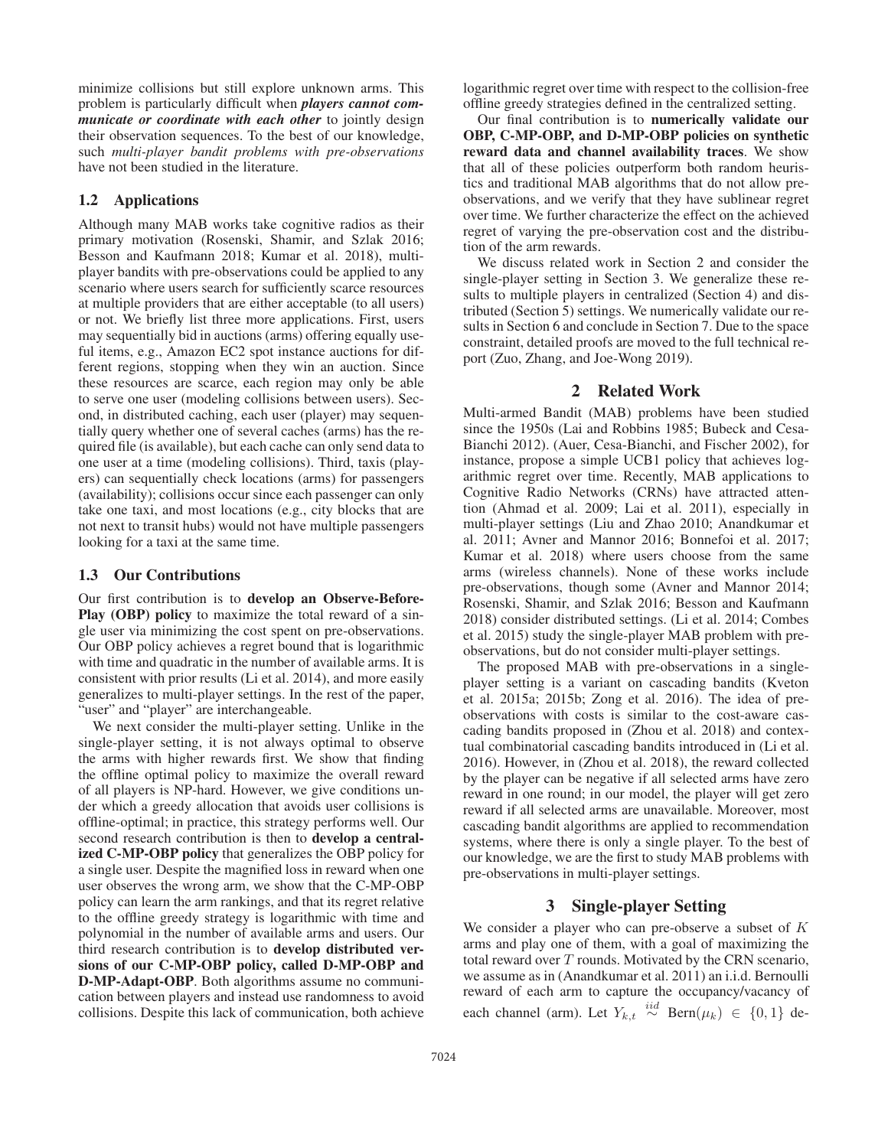minimize collisions but still explore unknown arms. This problem is particularly difficult when *players cannot communicate or coordinate with each other* to jointly design their observation sequences. To the best of our knowledge, such *multi-player bandit problems with pre-observations* have not been studied in the literature.

# 1.2 Applications

Although many MAB works take cognitive radios as their primary motivation (Rosenski, Shamir, and Szlak 2016; Besson and Kaufmann 2018; Kumar et al. 2018), multiplayer bandits with pre-observations could be applied to any scenario where users search for sufficiently scarce resources at multiple providers that are either acceptable (to all users) or not. We briefly list three more applications. First, users may sequentially bid in auctions (arms) offering equally useful items, e.g., Amazon EC2 spot instance auctions for different regions, stopping when they win an auction. Since these resources are scarce, each region may only be able to serve one user (modeling collisions between users). Second, in distributed caching, each user (player) may sequentially query whether one of several caches (arms) has the required file (is available), but each cache can only send data to one user at a time (modeling collisions). Third, taxis (players) can sequentially check locations (arms) for passengers (availability); collisions occur since each passenger can only take one taxi, and most locations (e.g., city blocks that are not next to transit hubs) would not have multiple passengers looking for a taxi at the same time.

# 1.3 Our Contributions

Our first contribution is to develop an Observe-Before-Play (OBP) policy to maximize the total reward of a single user via minimizing the cost spent on pre-observations. Our OBP policy achieves a regret bound that is logarithmic with time and quadratic in the number of available arms. It is consistent with prior results (Li et al. 2014), and more easily generalizes to multi-player settings. In the rest of the paper, "user" and "player" are interchangeable.

We next consider the multi-player setting. Unlike in the single-player setting, it is not always optimal to observe the arms with higher rewards first. We show that finding the offline optimal policy to maximize the overall reward of all players is NP-hard. However, we give conditions under which a greedy allocation that avoids user collisions is offline-optimal; in practice, this strategy performs well. Our second research contribution is then to develop a centralized C-MP-OBP policy that generalizes the OBP policy for a single user. Despite the magnified loss in reward when one user observes the wrong arm, we show that the C-MP-OBP policy can learn the arm rankings, and that its regret relative to the offline greedy strategy is logarithmic with time and polynomial in the number of available arms and users. Our third research contribution is to develop distributed versions of our C-MP-OBP policy, called D-MP-OBP and D-MP-Adapt-OBP. Both algorithms assume no communication between players and instead use randomness to avoid collisions. Despite this lack of communication, both achieve

logarithmic regret over time with respect to the collision-free offline greedy strategies defined in the centralized setting.

Our final contribution is to numerically validate our OBP, C-MP-OBP, and D-MP-OBP policies on synthetic reward data and channel availability traces. We show that all of these policies outperform both random heuristics and traditional MAB algorithms that do not allow preobservations, and we verify that they have sublinear regret over time. We further characterize the effect on the achieved regret of varying the pre-observation cost and the distribution of the arm rewards.

We discuss related work in Section 2 and consider the single-player setting in Section 3. We generalize these results to multiple players in centralized (Section 4) and distributed (Section 5) settings. We numerically validate our results in Section 6 and conclude in Section 7. Due to the space constraint, detailed proofs are moved to the full technical report (Zuo, Zhang, and Joe-Wong 2019).

## 2 Related Work

Multi-armed Bandit (MAB) problems have been studied since the 1950s (Lai and Robbins 1985; Bubeck and Cesa-Bianchi 2012). (Auer, Cesa-Bianchi, and Fischer 2002), for instance, propose a simple UCB1 policy that achieves logarithmic regret over time. Recently, MAB applications to Cognitive Radio Networks (CRNs) have attracted attention (Ahmad et al. 2009; Lai et al. 2011), especially in multi-player settings (Liu and Zhao 2010; Anandkumar et al. 2011; Avner and Mannor 2016; Bonnefoi et al. 2017; Kumar et al. 2018) where users choose from the same arms (wireless channels). None of these works include pre-observations, though some (Avner and Mannor 2014; Rosenski, Shamir, and Szlak 2016; Besson and Kaufmann 2018) consider distributed settings. (Li et al. 2014; Combes et al. 2015) study the single-player MAB problem with preobservations, but do not consider multi-player settings.

The proposed MAB with pre-observations in a singleplayer setting is a variant on cascading bandits (Kveton et al. 2015a; 2015b; Zong et al. 2016). The idea of preobservations with costs is similar to the cost-aware cascading bandits proposed in (Zhou et al. 2018) and contextual combinatorial cascading bandits introduced in (Li et al. 2016). However, in (Zhou et al. 2018), the reward collected by the player can be negative if all selected arms have zero reward in one round; in our model, the player will get zero reward if all selected arms are unavailable. Moreover, most cascading bandit algorithms are applied to recommendation systems, where there is only a single player. To the best of our knowledge, we are the first to study MAB problems with pre-observations in multi-player settings.

### 3 Single-player Setting

We consider a player who can pre-observe a subset of  $K$ arms and play one of them, with a goal of maximizing the total reward over  $T$  rounds. Motivated by the CRN scenario, we assume as in (Anandkumar et al. 2011) an i.i.d. Bernoulli reward of each arm to capture the occupancy/vacancy of each channel (arm). Let  $Y_{k,t} \stackrel{iid}{\sim} \text{Bern}(\mu_k) \in \{0,1\}$  de-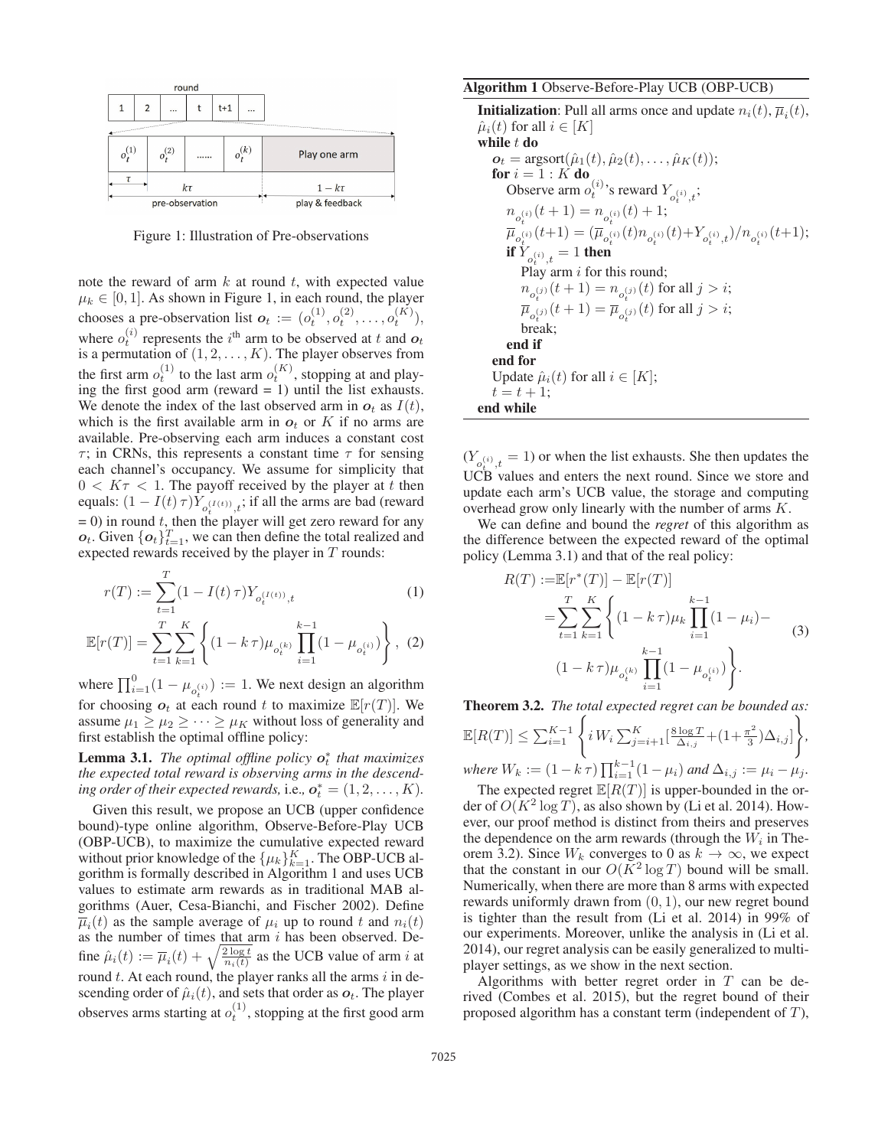

Figure 1: Illustration of Pre-observations

note the reward of arm  $k$  at round  $t$ , with expected value  $\mu_k \in [0, 1]$ . As shown in Figure 1, in each round, the player chooses a pre-observation list  $o_t := (o_t^{(1)}, o_t^{(2)}, \ldots, o_t^{(K)}),$ where  $o_t^{(i)}$  represents the i<sup>th</sup> arm to be observed at t and  $o_t$ is a permutation of  $(1, 2, \ldots, K)$ . The player observes from the first arm  $o_t^{(1)}$  to the last arm  $o_t^{(K)}$ , stopping at and playing the first good arm (reward  $= 1$ ) until the list exhausts. We denote the index of the last observed arm in  $o_t$  as  $I(t)$ , which is the first available arm in  $o_t$  or K if no arms are available. Pre-observing each arm induces a constant cost  $\tau$ ; in CRNs, this represents a constant time  $\tau$  for sensing each channel's occupancy. We assume for simplicity that  $0 < K\tau < 1$ . The payoff received by the player at t then equals:  $(1 - I(t) \tau)Y_{o_i(I(t))},$ ; if all the arms are bad (reward  $= 0$ ) in round t, then the player will get zero reward for any  $o_t$ . Given  $\{o_t\}_{t=1}^T$ , we can then define the total realized and expected rewards received by the player in T rounds: expected rewards received by the player in  $T$  rounds:

$$
r(T) := \sum_{t=1}^{T} (1 - I(t)\,\tau) Y_{o_t^{(I(t))},t}
$$
\n(1)

 $\tau$ 

$$
\mathbb{E}[r(T)] = \sum_{t=1}^{T} \sum_{k=1}^{K} \left\{ (1 - k \tau) \mu_{o_t^{(k)}} \prod_{i=1}^{k-1} (1 - \mu_{o_t^{(i)}}) \right\}, (2)
$$

where  $\prod_{i=1}^{v} (1 - \mu_{o_i^{(i)}}) := 1$ . We next design an algorithm for choosing  $o_t$  at each round t to maximize  $\mathbb{E}[r(T)]$ . We assume  $\mu_1 \geq \mu_2 \geq \cdots \geq \mu_K$  without loss of generality and first establish the optimal offline policy:

**Lemma 3.1.** *The optimal offline policy*  $o_t^*$  *that maximizes the expected total reward is observing arms in the descending order of their expected rewards,* i.e.,  $\mathbf{o}_t^* = (1, 2, \dots, K)$ .<br>Circumbianally be a HCD (and solution of large

Given this result, we propose an UCB (upper confidence bound)-type online algorithm, Observe-Before-Play UCB (OBP-UCB), to maximize the cumulative expected reward without prior knowledge of the  $\{\mu_k\}_{k=1}^K$ . The OBP-UCB algorithm is formally described in Algorithm 1 and uses UCB gorithm is formally described in Algorithm 1 and uses UCB values to estimate arm rewards as in traditional MAB algorithms (Auer, Cesa-Bianchi, and Fischer 2002). Define  $\overline{\mu}_i(t)$  as the sample average of  $\mu_i$  up to round t and  $n_i(t)$ as the number of times  $\underline{that}$  arm i has been observed. Define  $\hat{\mu}_i(t) := \overline{\mu}_i(t) + \sqrt{\frac{2 \log t}{n_i(t)}}$  as the UCB value of arm i at round  $t$ . At each round, the player ranks all the arms  $i$  in descending order of  $\hat{\mu}_i(t)$ , and sets that order as  $o_t$ . The player observes arms starting at  $o_t^{(1)}$ , stopping at the first good arm

#### Algorithm 1 Observe-Before-Play UCB (OBP-UCB)

**Initialization:** Pull all arms once and update  $n_i(t)$ ,  $\overline{\mu}_i(t)$ ,  $\hat{\mu}_i(t)$  for all  $i \in [K]$ while t do  $o_t = \text{argsort}(\hat{\mu}_1(t), \hat{\mu}_2(t), \dots, \hat{\mu}_K(t));$ for  $i = 1 : K$  do  $\sum_{t}^{(i)}$  of reward  $Y_{o_t^{(i)}, t}$ ;  $n_{o_t^{(i)}}(t+1) = n_{o_t^{(i)}}(t) + 1;$  $\overline{\mu}_{o_t^{(i)}}(t+1) = (\overline{\mu}_{o_t^{(i)}}(t)n_{o_t^{(i)}}(t)+Y_{o_t^{(i)},t})/n_{o_t^{(i)}}(t+1);$ if  $Y_{o_t^{(i)},t} = 1$  then<br>Planeture i family Play arm *i* for this round;  $n_{o_t^{(j)}}(t+1) = n_{o_t^{(j)}}(t)$  for all  $j > i;$  $\overline{\mu}_{o_t^{(j)}}(t+1) = \overline{\mu}_{o_t^{(j)}}(t)$  for all  $j > i;$ break; end if end for Update  $\hat{\mu}_i(t)$  for all  $i \in [K]$ ;  $t = t + 1;$ end while

 $(Y_{o_i^{(i)}, t} = 1)$  or when the list exhausts. She then updates the UCB values and orders the next result. Since we stare and UCB values and enters the next round. Since we store and update each arm's UCB value, the storage and computing overhead grow only linearly with the number of arms K.

We can define and bound the *regret* of this algorithm as the difference between the expected reward of the optimal policy (Lemma 3.1) and that of the real policy:

$$
R(T) := \mathbb{E}[r^*(T)] - \mathbb{E}[r(T)]
$$
  
= 
$$
\sum_{t=1}^T \sum_{k=1}^K \left\{ (1 - k\tau)\mu_k \prod_{i=1}^{k-1} (1 - \mu_i) - \right\}
$$
  

$$
(1 - k\tau)\mu_{o_t^{(k)}} \prod_{i=1}^{k-1} (1 - \mu_{o_t^{(i)}}) \right\}.
$$
 (3)

Theorem 3.2. *The total expected regret can be bounded as:*

$$
\mathbb{E}[R(T)] \le \sum_{i=1}^{K-1} \left\{ i W_i \sum_{j=i+1}^{K} \left[ \frac{8 \log T}{\Delta_{i,j}} + \left( 1 + \frac{\pi^2}{3} \right) \Delta_{i,j} \right] \right\},
$$
  
where  $W_k := (1 - k \tau) \prod_{i=1}^{K-1} (1 - \mu_i)$  and  $\Delta_{i,j} := \mu_i - \mu_j$ .

The expected regret  $\mathbb{E}[R(T)]$  is upper-bounded in the or-<br>r of  $O(K^2 \log T)$  as also shown by (Li et al. 2014) Howder of  $O(K^2 \log T)$ , as also shown by (Li et al. 2014). However, our proof method is distinct from theirs and preserves the dependence on the arm rewards (through the  $W_i$  in Theorem 3.2). Since  $W_k$  converges to 0 as  $k \to \infty$ , we expect that the constant in our  $O(K^2 \log T)$  bound will be small. Numerically, when there are more than 8 arms with expected rewards uniformly drawn from  $(0, 1)$ , our new regret bound is tighter than the result from (Li et al. 2014) in 99% of our experiments. Moreover, unlike the analysis in (Li et al. 2014), our regret analysis can be easily generalized to multiplayer settings, as we show in the next section.

Algorithms with better regret order in  $T$  can be derived (Combes et al. 2015), but the regret bound of their proposed algorithm has a constant term (independent of T),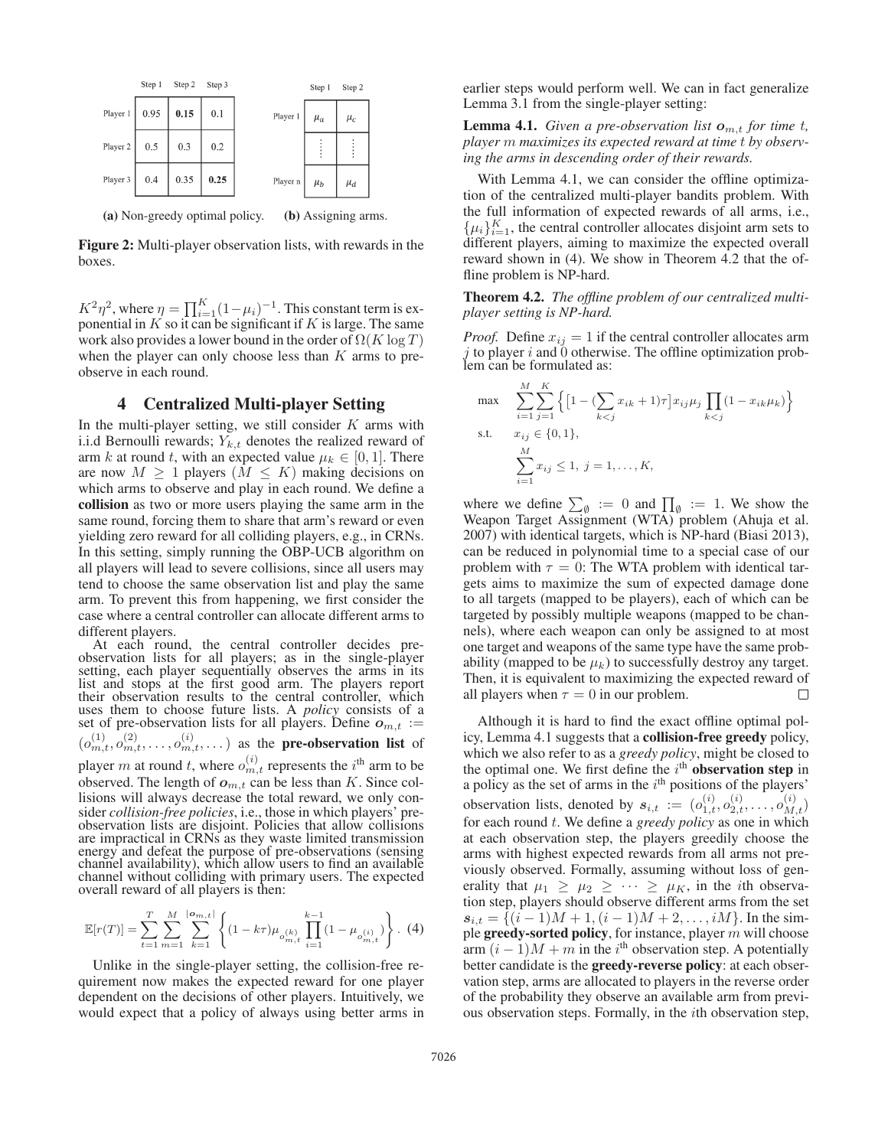

Figure 2: Multi-player observation lists, with rewards in the boxes.

 $K^2 \eta^2$ , where  $\eta = \prod_{i=1}^K (1 - \mu_i)^{-1}$ . This constant term is ex-<br>ponential in K so it can be significant if K is large. The same ponential in  $K$  so it can be significant if  $K$  is large. The same work also provides a lower bound in the order of  $\Omega(K \log T)$ when the player can only choose less than  $K$  arms to preobserve in each round.

# 4 Centralized Multi-player Setting

In the multi-player setting, we still consider  $K$  arms with i.i.d Bernoulli rewards;  $Y_{k,t}$  denotes the realized reward of arm k at round t, with an expected value  $\mu_k \in [0, 1]$ . There are now  $M \geq 1$  players  $(M \leq K)$  making decisions on which arms to observe and play in each round. We define a collision as two or more users playing the same arm in the same round, forcing them to share that arm's reward or even yielding zero reward for all colliding players, e.g., in CRNs. In this setting, simply running the OBP-UCB algorithm on all players will lead to severe collisions, since all users may tend to choose the same observation list and play the same arm. To prevent this from happening, we first consider the case where a central controller can allocate different arms to different players.

At each round, the central controller decides preobservation lists for all players; as in the single-player setting, each player sequentially observes the arms in its list and stops at the first good arm. The players report their observation results to the central controller, which uses them to choose future lists. A *policy* consists of a set of pre-observation lists for all players. Define  $o_{m,t}$ :  $(o_{m,t}^{(1)}, o_{m,t}^{(2)}, \ldots, o_{m,t}^{(i)}, \ldots)$  as the **pre-observation list** of player m at round t, where  $o_{m,t}^{(i)}$  represents the i<sup>th</sup> arm to be observed. The length of  $o_{m,t}$  can be less than K. Since collisions will always decrease the total reward, we only consider *collision-free policies*, i.e., those in which players' preobservation lists are disjoint. Policies that allow collisions are impractical in CRNs as they waste limited transmission energy and defeat the purpose of pre-observations (sensing channel availability), which allow users to find an available channel without colliding with primary users. The expected overall reward of all players is then:

$$
\mathbb{E}[r(T)] = \sum_{t=1}^{T} \sum_{m=1}^{M} \sum_{k=1}^{\lfloor \mathbf{O}m, t \rfloor} \left\{ (1 - k\tau) \mu_{o_{m,t}^{(k)}} \prod_{i=1}^{k-1} (1 - \mu_{o_{m,t}^{(i)}}) \right\}.
$$
 (4)

Unlike in the single-player setting, the collision-free requirement now makes the expected reward for one player dependent on the decisions of other players. Intuitively, we would expect that a policy of always using better arms in

earlier steps would perform well. We can in fact generalize Lemma 3.1 from the single-player setting:

**Lemma 4.1.** *Given a pre-observation list*  $o_{m,t}$  *for time t, player* m *maximizes its expected reward at time* t *by observing the arms in descending order of their rewards.*

With Lemma 4.1, we can consider the offline optimization of the centralized multi-player bandits problem. With the full information of expected rewards of all arms, i.e.,  $\{\mu_i\}_{i=1}^K$ , the central controller allocates disjoint arm sets to different players aiming to maximize the expected overall different players, aiming to maximize the expected overall reward shown in (4). We show in Theorem 4.2 that the offline problem is NP-hard.

Theorem 4.2. *The offline problem of our centralized multiplayer setting is NP-hard.*

*Proof.* Define  $x_{ij} = 1$  if the central controller allocates arm j to player i and  $\ddot{0}$  otherwise. The offline optimization problem can be formulated as:

$$
\max \sum_{i=1}^{M} \sum_{j=1}^{K} \left\{ \left[ 1 - (\sum_{k < j} x_{ik} + 1)\tau \right] x_{ij} \mu_j \prod_{k < j} (1 - x_{ik} \mu_k) \right\}
$$
\n
$$
\text{s.t.} \quad x_{ij} \in \{0, 1\},
$$
\n
$$
\sum_{i=1}^{M} x_{ij} \le 1, \ j = 1, \dots, K,
$$

where we define  $\sum_{\emptyset} := 0$  and  $\prod_{\emptyset} := 1$ . We show the Weapon Target Assignment (WTA) problem (Ahuja et al. 2007) with identical targets, which is NP-hard (Biasi 2013), can be reduced in polynomial time to a special case of our problem with  $\tau = 0$ : The WTA problem with identical targets aims to maximize the sum of expected damage done to all targets (mapped to be players), each of which can be targeted by possibly multiple weapons (mapped to be channels), where each weapon can only be assigned to at most one target and weapons of the same type have the same probability (mapped to be  $\mu_k$ ) to successfully destroy any target. Then, it is equivalent to maximizing the expected reward of all players when  $\tau = 0$  in our problem. П

Although it is hard to find the exact offline optimal policy, Lemma 4.1 suggests that a collision-free greedy policy, which we also refer to as a *greedy policy*, might be closed to the optimal one. We first define the  $i<sup>th</sup>$  observation step in a policy as the set of arms in the  $i<sup>th</sup>$  positions of the players' observation lists, denoted by  $s_{i,t} := (o_{1,t}^{(i)}, o_{2,t}^{(i)}, \ldots, o_{M,t}^{(i)})$ <br>for each round t. We define a *greedy policy* as one in which for each round t. We define a *greedy policy* as one in which at each observation step, the players greedily choose the arms with highest expected rewards from all arms not previously observed. Formally, assuming without loss of generality that  $\mu_1 \geq \mu_2 \geq \cdots \geq \mu_K$ , in the *i*th observation step, players should observe different arms from the set  $s_{i,t} = \{(i-1)M + 1, (i-1)M + 2, \ldots, iM\}$ . In the simple greedy-sorted policy, for instance, player  $m$  will choose  $\text{arm } (i-1)M + m$  in the *i*<sup>th</sup> observation step. A potentially better candidate is the **greedy-reverse nolicy** at each obserbetter candidate is the greedy-reverse policy: at each observation step, arms are allocated to players in the reverse order of the probability they observe an available arm from previous observation steps. Formally, in the ith observation step,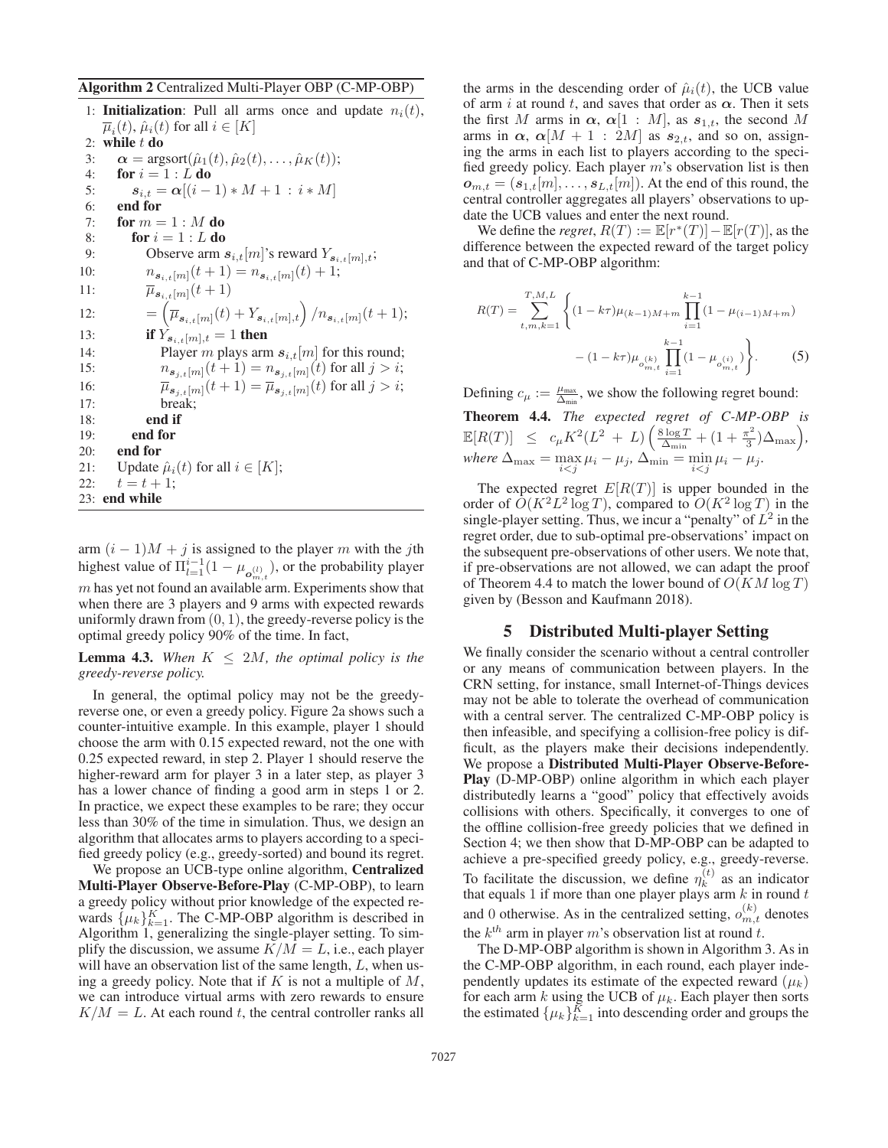#### Algorithm 2 Centralized Multi-Player OBP (C-MP-OBP)

1: **Initialization**: Pull all arms once and update  $n_i(t)$ ,  $\overline{\mu}_i(t)$ ,  $\hat{\mu}_i(t)$  for all  $i \in [K]$ 2: while  $t$  do 3:  $\alpha = \text{argsort}(\hat{\mu}_1(t), \hat{\mu}_2(t), \dots, \hat{\mu}_K(t));$ <br>4: **for**  $i = 1 : L$  **do** 4: **for**  $i = 1 : L$  **do**<br>5:  $s_{i,t} = \alpha[(i-1)]$ 5:  $s_{i,t} = \alpha[(i-1) * M + 1 : i * M]$ <br>6: **end for** end for 7: for  $m = 1 : M$  do<br>8: for  $i = 1 : L$  do 8: **for**  $i = 1 : L$  **do**<br>9: **Observe arm** a 9: Observe arm  $s_{i,t}[m]$ 's reward  $Y_{s_{i,t}[m],t}$ ;<br>
10:  $n_{s_{i,t}[m]}(t+1) = n_{s_{i,t}[m]}(t) + 1;$ 10:  $n_{s_{i,t}[m]}(t+1) = n_{s_{i,t}[m]}(t) + 1;$ <br>11:  $\overline{\mu}_{s_{i,t}[m]}(t+1)$ 11:  $\overline{\mu}_{s_{i,t}[m]}(t+1)$ <br>
12:  $= (\overline{\mu}_{s_{i,t}[m]}(t))$ 12:  $= \left(\overline{\mu}_{s_{i,t}[m]}(t) + Y_{s_{i,t}[m],t}\right) / n_{s_{i,t}[m]}(t+1);$ 13: **if**  $Y_{s_{i,t}[m],t} = 1$  then<br>  $\frac{p_{\text{layer }m}}{p_{\text{layer }m}}$  player 14: Player *m* plays arm  $s_{i,t}[m]$  for this round;<br>15:  $n_{s_{i,t}[m]}(t+1) = n_{s_{i,t}[m]}(t)$  for all  $j > i$ ; 15:  $n_{s_{j,t}[m]}(t + 1) = n_{s_{j,t}[m]}(t)$  for all  $j > i$ ;<br>
16:  $\overline{u}_{s_{j,t}[m]}(t + 1) = \overline{u}_{s_{j,t}[m]}(t)$  for all  $j > i$ ; 16:  $\overline{\mu}_{s_{j,t}[m]}(t+1) = \overline{\mu}_{s_{j,t}[m]}(t)$  for all  $j > i$ ; break; 18: end if 19: end for 20: end for 21: Update  $\hat{\mu}_i(t)$  for all  $i \in [K]$ ;<br>22:  $t = t + 1$ ; 22:  $t = t + 1;$ <br>
23: **end while** 

arm  $(i - 1)M + j$  is assigned to the player m with the jth highest value of  $\Pi_{l=1}^{i-1}(1-\mu_{o_{l}}^{(l)})$ , or the probability player  $m$  has yet not found an available arm. Experiments show that when there are 3 players and 9 arms with expected rewards uniformly drawn from  $(0, 1)$ , the greedy-reverse policy is the optimal greedy policy 90% of the time. In fact,

**Lemma 4.3.** When  $K < 2M$ , the optimal policy is the *greedy-reverse policy.*

In general, the optimal policy may not be the greedyreverse one, or even a greedy policy. Figure 2a shows such a counter-intuitive example. In this example, player 1 should choose the arm with 0.15 expected reward, not the one with 0.25 expected reward, in step 2. Player 1 should reserve the higher-reward arm for player 3 in a later step, as player 3 has a lower chance of finding a good arm in steps 1 or 2. In practice, we expect these examples to be rare; they occur less than 30% of the time in simulation. Thus, we design an algorithm that allocates arms to players according to a specified greedy policy (e.g., greedy-sorted) and bound its regret.

We propose an UCB-type online algorithm, Centralized Multi-Player Observe-Before-Play (C-MP-OBP), to learn a greedy policy without prior knowledge of the expected rewards  $\{\mu_k\}_{k=1}^K$ . The C-MP-OBP algorithm is described in Algorithm 1 generalizing the single-player setting To sim-Algorithm 1, generalizing the single-player setting. To simplify the discussion, we assume  $K/M = L$ , i.e., each player will have an observation list of the same length,  $L$ , when using a greedy policy. Note that if  $K$  is not a multiple of  $M$ , we can introduce virtual arms with zero rewards to ensure  $K/M = L$ . At each round t, the central controller ranks all

the arms in the descending order of  $\hat{\mu}_i(t)$ , the UCB value of arm i at round t, and saves that order as  $\alpha$ . Then it sets the first M arms in  $\alpha$ ,  $\alpha$ [1 : M], as  $s_{1,t}$ , the second M arms in  $\alpha$ ,  $\alpha$ [ $M + 1$  : 2 $M$ ] as  $s_{2,t}$ , and so on, assigning the arms in each list to players according to the specified greedy policy. Each player  $m$ 's observation list is then  $\boldsymbol{o}_{m,t} = (\boldsymbol{s}_{1,t}[m], \ldots, \boldsymbol{s}_{L,t}[m])$ . At the end of this round, the central controller aggregates all players' observations to update the UCB values and enter the next round.

We define the *regret*,  $R(T) := \mathbb{E}[r^*(T)] - \mathbb{E}[r(T)]$ , as the difference between the expected reward of the target policy and that of C-MP-OBP algorithm:

$$
R(T) = \sum_{t,m,k=1}^{T,M,L} \left\{ (1 - k\tau)\mu_{(k-1)M+m} \prod_{i=1}^{k-1} (1 - \mu_{(i-1)M+m}) - (1 - k\tau)\mu_{o_{m,t}^{(k)}} \prod_{i=1}^{k-1} (1 - \mu_{o_{m,t}^{(i)}}) \right\}.
$$
 (5)

Defining  $c_{\mu} := \frac{\mu_{\text{max}}}{\Delta_{\min}}$ , we show the following regret bound:

Theorem 4.4. *The expected regret of C-MP-OBP is*  $\mathbb{E}[R(T)] \leq c_{\mu} K^2 (L^2 + L) \left( \frac{8 \log T}{\Delta_{\min}} + (1 + \frac{\pi^2}{3}) \Delta_{\max} \right),$ <br>where  $\Delta$ *where*  $\Delta_{\max} = \max_{i < j} \mu_i - \mu_j, \, \Delta_{\min} = \min_{i < j} \mu_i - \mu_j.$ 

The expected regret  $E[R(T)]$  is upper bounded in the order of  $O(K^2L^2 \log T)$ , compared to  $O(K^2 \log T)$  in the single-player setting. Thus, we incur a "penalty" of  $L^2$  in the regret order, due to sub-optimal pre-observations' impact on the subsequent pre-observations of other users. We note that, if pre-observations are not allowed, we can adapt the proof of Theorem 4.4 to match the lower bound of  $O(KM \log T)$ given by (Besson and Kaufmann 2018).

### 5 Distributed Multi-player Setting

We finally consider the scenario without a central controller or any means of communication between players. In the CRN setting, for instance, small Internet-of-Things devices may not be able to tolerate the overhead of communication with a central server. The centralized C-MP-OBP policy is then infeasible, and specifying a collision-free policy is difficult, as the players make their decisions independently. We propose a Distributed Multi-Player Observe-Before-Play (D-MP-OBP) online algorithm in which each player distributedly learns a "good" policy that effectively avoids collisions with others. Specifically, it converges to one of the offline collision-free greedy policies that we defined in Section 4; we then show that D-MP-OBP can be adapted to achieve a pre-specified greedy policy, e.g., greedy-reverse. To facilitate the discussion, we define  $\eta_k^{(t)}$  as an indicator that equals 1 if more than one player plays arm k in round t and 0 otherwise. As in the centralized setting,  $o_{m,t}^{(k)}$  denotes<br>the k<sup>th</sup> erm in player m's observation list at round t the  $k<sup>th</sup>$  arm in player m's observation list at round t.

The D-MP-OBP algorithm is shown in Algorithm 3. As in the C-MP-OBP algorithm, in each round, each player independently updates its estimate of the expected reward  $(\mu_k)$ for each arm k using the UCB of  $\mu_k$ . Each player then sorts the estimated  $\{\mu_k\}_{k=1}^K$  into descending order and groups the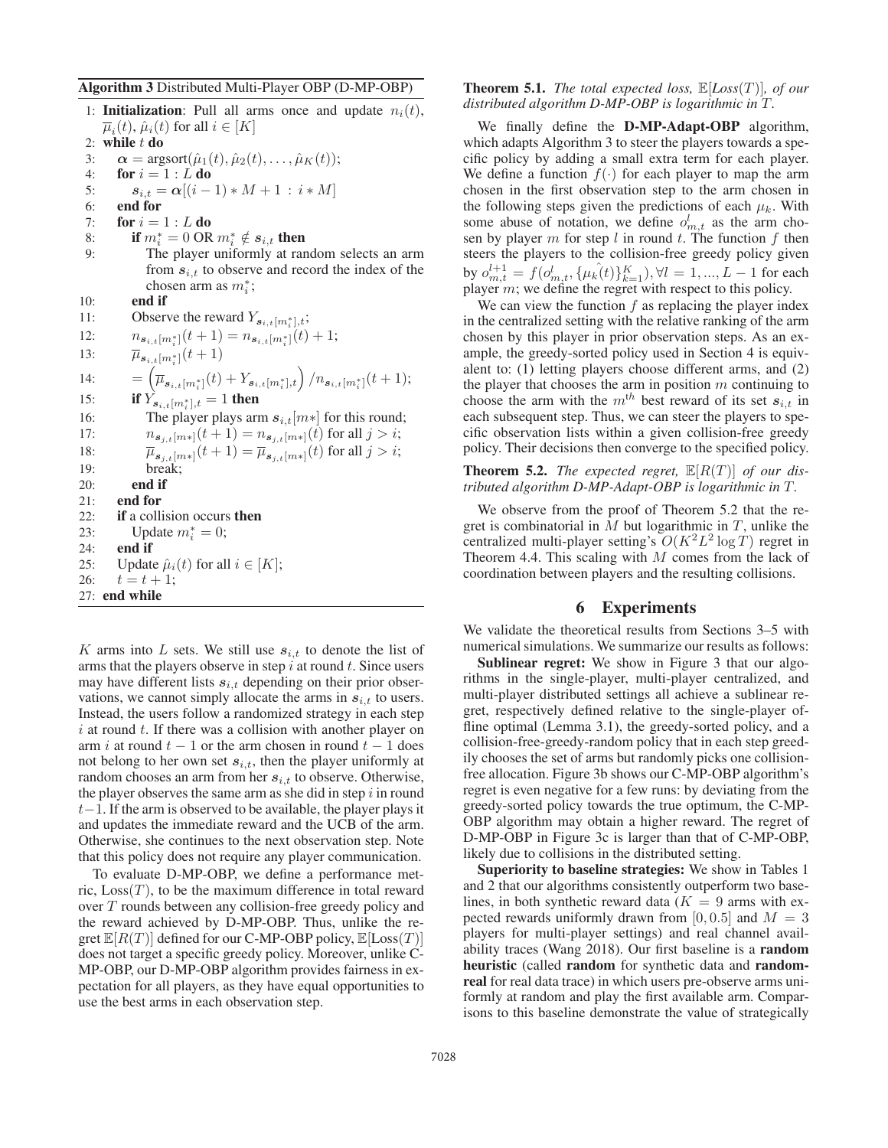#### Algorithm 3 Distributed Multi-Player OBP (D-MP-OBP)

```
1: Initialization: Pull all arms once and update n_i(t),
       \overline{\mu}_i(t), \hat{\mu}_i(t) for all i \in [K]2: while t do
  3: \alpha = \text{argsort}(\hat{\mu}_1(t), \hat{\mu}_2(t), \dots, \hat{\mu}_K(t));<br>4: for i = 1 : L do
  4: for i = 1 : L do<br>5: s_{i,t} = \alpha [(i -5: s_{i,t} = \alpha[(i-1) * M + 1 : i * M]<br>6: end for
           end for
  7: for i = 1 : L do<br>8: if m_i^* = 0 OR
  8: if m_i^* = 0 OR m_i^* \notin s_{i,t} then<br>9. The player uniformly at ray
  9: The player uniformly at random selects an arm
                   from s_{i,t} to observe and record the index of the
                   chosen arm as m_i^*;
10: end if
11: Observe the reward Y_{s_{i,t}[m_i^*],t};
12: n_{\mathbf{s}_{i,t}[m_i^*]}(t+1) = n_{\mathbf{s}_{i,t}[m_i^*]}(t) + 1;13: \overline{\mu}_{\mathbf{s}_{i,t}[m_i^*]}(t+1)14: = \left(\overline{\mu}_{s_{i,t}[m_i^*]}(t) + Y_{s_{i,t}[m_i^*],t}\right)/n_{s_{i,t}[m_i^*]}(t+1);15: if Y_{s_{i,t}[m_i^*],t} = 1 then<br>
16: The player plays are
16: The player plays arm s_{i,t}[m*] for this round;<br>17: n_{s_{i,t}[m*]}(t+1) = n_{s_{i,t}[m*]}(t) for all j > i;
17: n_{\mathbf{s}_{j,t}[m*]}(t+1) = n_{\mathbf{s}_{j,t}[m*]}(t) for all j > i;<br>
18: \overline{\mu}_{\mathbf{s}_{j,t}[m*]}(t+1) = \overline{\mu}_{\mathbf{s}_{j,t}[m*]}(t) for all j > i;
18: \overline{\mu}_{\mathbf{s}_{j,t}[m*]}(t+1) = \overline{\mu}_{\mathbf{s}_{j,t}[m*]}(t) for all j > i;<br>19: break:
                   break;
20: end if
21: end for
22: if a collision occurs then
23: Update m_i^* = 0;<br>24· end if
24: end if
25: Update \hat{\mu}_i(t) for all i \in [K];<br>26: t = t + 1;
26: t = t + 1;<br>27: end while
```
K arms into L sets. We still use  $s_{i,t}$  to denote the list of arms that the players observe in step  $i$  at round  $t$ . Since users may have different lists  $s_{i,t}$  depending on their prior observations, we cannot simply allocate the arms in  $s_{i,t}$  to users. Instead, the users follow a randomized strategy in each step  $i$  at round  $t$ . If there was a collision with another player on arm i at round  $t - 1$  or the arm chosen in round  $t - 1$  does not belong to her own set  $s_{i,t}$ , then the player uniformly at random chooses an arm from her  $s_{i,t}$  to observe. Otherwise, the player observes the same arm as she did in step  $i$  in round  $t-1$ . If the arm is observed to be available, the player plays it and updates the immediate reward and the UCB of the arm. Otherwise, she continues to the next observation step. Note that this policy does not require any player communication.

To evaluate D-MP-OBP, we define a performance metric,  $Loss(T)$ , to be the maximum difference in total reward over T rounds between any collision-free greedy policy and the reward achieved by D-MP-OBP. Thus, unlike the regret  $\mathbb{E}[R(T)]$  defined for our C-MP-OBP policy,  $\mathbb{E}[\text{Loss}(T)]$ does not target a specific greedy policy. Moreover, unlike C-MP-OBP, our D-MP-OBP algorithm provides fairness in expectation for all players, as they have equal opportunities to use the best arms in each observation step.

# **Theorem 5.1.** *The total expected loss,*  $\mathbb{E}[Loss(T)]$ *, of our distributed algorithm D-MP-OBP is logarithmic in* T*.*

We finally define the D-MP-Adapt-OBP algorithm, which adapts Algorithm 3 to steer the players towards a specific policy by adding a small extra term for each player. We define a function  $f(\cdot)$  for each player to map the arm chosen in the first observation step to the arm chosen in the following steps given the predictions of each  $\mu_k$ . With some abuse of notation, we define  $o_{m,t}^l$  as the arm chosen by player m for step  $l$  in round  $t$ . The function  $f$  then steers the players to the collision-free greedy policy given by  $o_{m,t}^{l+1} = f(o_{m,t}^l, \{\mu_k(t)\}_{k=1}^K), \forall l = 1, ..., L-1$  for each player m; we define the regret with respect to this policy.

We can view the function  $f$  as replacing the player index in the centralized setting with the relative ranking of the arm chosen by this player in prior observation steps. As an example, the greedy-sorted policy used in Section 4 is equivalent to: (1) letting players choose different arms, and (2) the player that chooses the arm in position  $m$  continuing to choose the arm with the  $m^{th}$  best reward of its set  $s_{i,t}$  in each subsequent step. Thus, we can steer the players to specific observation lists within a given collision-free greedy policy. Their decisions then converge to the specified policy.

### **Theorem 5.2.** *The expected regret,*  $\mathbb{E}[R(T)]$  *of our distributed algorithm D-MP-Adapt-OBP is logarithmic in* T*.*

We observe from the proof of Theorem 5.2 that the regret is combinatorial in  $\overline{M}$  but logarithmic in  $T$ , unlike the centralized multi-player setting's  $O(K^2L^2 \log T)$  regret in Theorem 4.4. This scaling with  $M$  comes from the lack of coordination between players and the resulting collisions.

#### 6 Experiments

We validate the theoretical results from Sections 3–5 with numerical simulations. We summarize our results as follows:

Sublinear regret: We show in Figure 3 that our algorithms in the single-player, multi-player centralized, and multi-player distributed settings all achieve a sublinear regret, respectively defined relative to the single-player offline optimal (Lemma 3.1), the greedy-sorted policy, and a collision-free-greedy-random policy that in each step greedily chooses the set of arms but randomly picks one collisionfree allocation. Figure 3b shows our C-MP-OBP algorithm's regret is even negative for a few runs: by deviating from the greedy-sorted policy towards the true optimum, the C-MP-OBP algorithm may obtain a higher reward. The regret of D-MP-OBP in Figure 3c is larger than that of C-MP-OBP, likely due to collisions in the distributed setting.

Superiority to baseline strategies: We show in Tables 1 and 2 that our algorithms consistently outperform two baselines, in both synthetic reward data ( $K = 9$  arms with expected rewards uniformly drawn from [0, 0.5] and  $M = 3$ players for multi-player settings) and real channel availability traces (Wang 2018). Our first baseline is a random heuristic (called random for synthetic data and randomreal for real data trace) in which users pre-observe arms uniformly at random and play the first available arm. Comparisons to this baseline demonstrate the value of strategically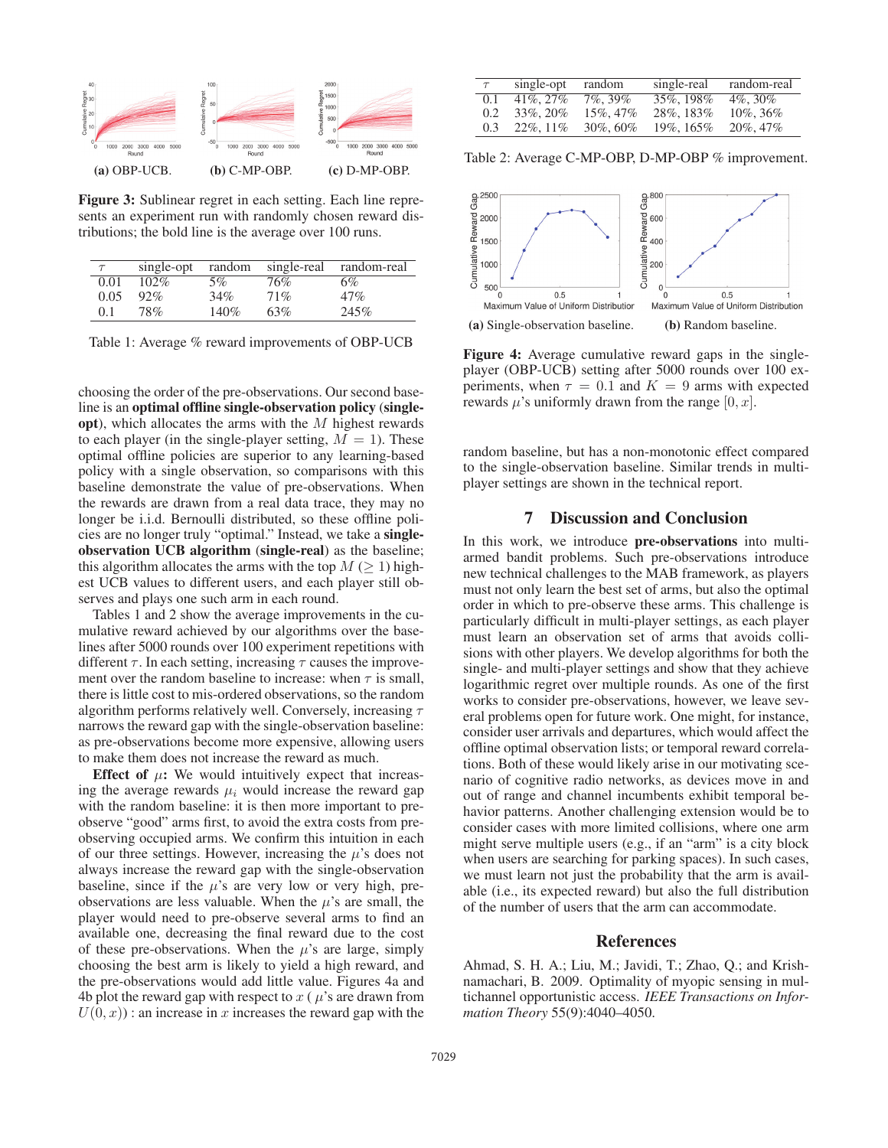

Figure 3: Sublinear regret in each setting. Each line represents an experiment run with randomly chosen reward distributions; the bold line is the average over 100 runs.

|       | single-opt | random | single-real | random-real |
|-------|------------|--------|-------------|-------------|
| 0.01  | $102\%$    | 5%     | 76%         | 6%          |
| 0.05  | 92%        | 34%    | $71\%$      | 47%         |
| (0.1) | 78%        | 140%   | 63%         | 245%        |

Table 1: Average % reward improvements of OBP-UCB

choosing the order of the pre-observations. Our second baseline is an optimal offline single-observation policy (single $opt$ ), which allocates the arms with the  $M$  highest rewards to each player (in the single-player setting,  $M = 1$ ). These optimal offline policies are superior to any learning-based policy with a single observation, so comparisons with this baseline demonstrate the value of pre-observations. When the rewards are drawn from a real data trace, they may no longer be i.i.d. Bernoulli distributed, so these offline policies are no longer truly "optimal." Instead, we take a singleobservation UCB algorithm (single-real) as the baseline; this algorithm allocates the arms with the top  $M \geq 1$ ) highest UCB values to different users, and each player still observes and plays one such arm in each round.

Tables 1 and 2 show the average improvements in the cumulative reward achieved by our algorithms over the baselines after 5000 rounds over 100 experiment repetitions with different  $\tau$ . In each setting, increasing  $\tau$  causes the improvement over the random baseline to increase: when  $\tau$  is small, there is little cost to mis-ordered observations, so the random algorithm performs relatively well. Conversely, increasing  $\tau$ narrows the reward gap with the single-observation baseline: as pre-observations become more expensive, allowing users to make them does not increase the reward as much.

Effect of  $\mu$ : We would intuitively expect that increasing the average rewards  $\mu_i$  would increase the reward gap with the random baseline: it is then more important to preobserve "good" arms first, to avoid the extra costs from preobserving occupied arms. We confirm this intuition in each of our three settings. However, increasing the  $\mu$ 's does not always increase the reward gap with the single-observation baseline, since if the  $\mu$ 's are very low or very high, preobservations are less valuable. When the  $\mu$ 's are small, the player would need to pre-observe several arms to find an available one, decreasing the final reward due to the cost of these pre-observations. When the  $\mu$ 's are large, simply choosing the best arm is likely to yield a high reward, and the pre-observations would add little value. Figures 4a and 4b plot the reward gap with respect to  $x \in \mu$ 's are drawn from  $U(0, x)$  : an increase in x increases the reward gap with the

| $\tau$           | single-opt | random       | single-real | random-real  |
|------------------|------------|--------------|-------------|--------------|
| 0.1              | 41%, 27%   | 7%, 39%      | 35\%. 198\% | 4\%. 30\%    |
| $0.2^{\circ}$    | 33\%. 20\% | 15\%, 47\%   | 28\%, 183\% | $10\%$ , 36% |
| 0.3 <sup>2</sup> | 22\%. 11\% | $30\%$ , 60% | 19%, 165%   | $20\%$ , 47% |

Table 2: Average C-MP-OBP, D-MP-OBP % improvement.



Figure 4: Average cumulative reward gaps in the singleplayer (OBP-UCB) setting after 5000 rounds over 100 experiments, when  $\tau = 0.1$  and  $K = 9$  arms with expected rewards  $\mu$ 's uniformly drawn from the range [0, x].

random baseline, but has a non-monotonic effect compared to the single-observation baseline. Similar trends in multiplayer settings are shown in the technical report.

# 7 Discussion and Conclusion

In this work, we introduce **pre-observations** into multiarmed bandit problems. Such pre-observations introduce new technical challenges to the MAB framework, as players must not only learn the best set of arms, but also the optimal order in which to pre-observe these arms. This challenge is particularly difficult in multi-player settings, as each player must learn an observation set of arms that avoids collisions with other players. We develop algorithms for both the single- and multi-player settings and show that they achieve logarithmic regret over multiple rounds. As one of the first works to consider pre-observations, however, we leave several problems open for future work. One might, for instance, consider user arrivals and departures, which would affect the offline optimal observation lists; or temporal reward correlations. Both of these would likely arise in our motivating scenario of cognitive radio networks, as devices move in and out of range and channel incumbents exhibit temporal behavior patterns. Another challenging extension would be to consider cases with more limited collisions, where one arm might serve multiple users (e.g., if an "arm" is a city block when users are searching for parking spaces). In such cases, we must learn not just the probability that the arm is available (i.e., its expected reward) but also the full distribution of the number of users that the arm can accommodate.

### References

Ahmad, S. H. A.; Liu, M.; Javidi, T.; Zhao, Q.; and Krishnamachari, B. 2009. Optimality of myopic sensing in multichannel opportunistic access. *IEEE Transactions on Information Theory* 55(9):4040–4050.